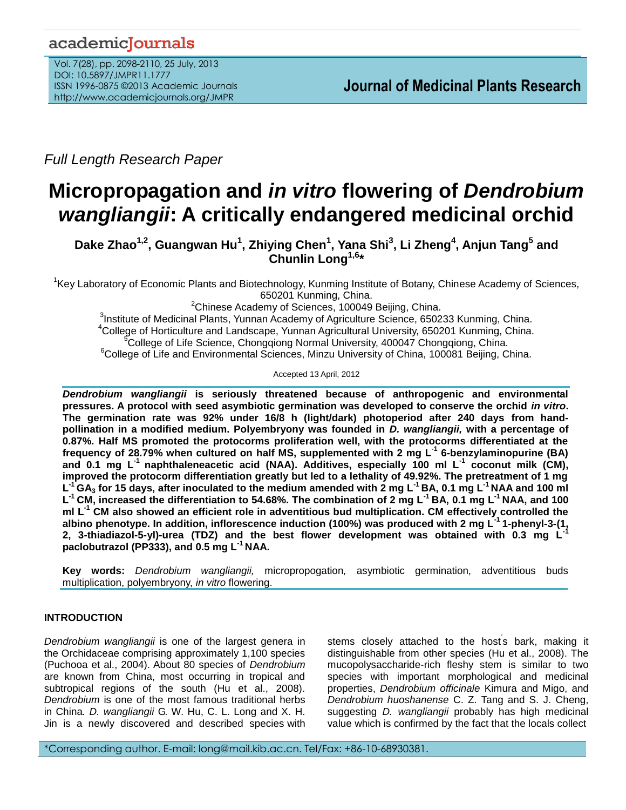# academicJournals

Vol. 7(28), pp. 2098-2110, 25 July, 2013 DOI: 10.5897/JMPR11.1777 ISSN 1996-0875 ©2013 Academic Journals http://www.academicjournals.org/JMPR

*Full Length Research Paper*

# **Micropropagation and** *in vitro* **flowering of** *Dendrobium wangliangii***: A critically endangered medicinal orchid**

**Dake Zhao1,2, Guangwan Hu<sup>1</sup> , Zhiying Chen<sup>1</sup> , Yana Shi<sup>3</sup> , Li Zheng<sup>4</sup> , Anjun Tang<sup>5</sup> and Chunlin Long1,6\***

<sup>1</sup>Key Laboratory of Economic Plants and Biotechnology, Kunming Institute of Botany, Chinese Academy of Sciences, 650201 Kunming, China.

 $2$ Chinese Academy of Sciences, 100049 Beijing, China.

<sup>3</sup>Institute of Medicinal Plants, Yunnan Academy of Agriculture Science, 650233 Kunming, China. <sup>4</sup>College of Horticulture and Landscape, Yunnan Agricultural University, 650201 Kunming, China. <sup>5</sup>College of Life Science, Chonggiong Normal University, 400047 Chonggiong, China. <sup>6</sup>College of Life and Environmental Sciences, Minzu University of China, 100081 Beijing, China.

# Accepted 13 April, 2012

*Dendrobium wangliangii* **is seriously threatened because of anthropogenic and environmental pressures. A protocol with seed asymbiotic germination was developed to conserve the orchid** *in vitro***. The germination rate was 92% under 16/8 h (light/dark) photoperiod after 240 days from handpollination in a modified medium. Polyembryony was founded in** *D. wangliangii,* **with a percentage of 0.87%. Half MS promoted the protocorms proliferation well, with the protocorms differentiated at the frequency of 28.79% when cultured on half MS, supplemented with 2 mg L-1 6-benzylaminopurine (BA) and 0.1 mg L-1 naphthaleneacetic acid (NAA). Additives, especially 100 ml L-1 coconut milk (CM), improved the protocorm differentiation greatly but led to a lethality of 49.92%. The pretreatment of 1 mg L -1 GA<sup>3</sup> for 15 days, after inoculated to the medium amended with 2 mg L-1 BA, 0.1 mg L-1 NAA and 100 ml L -1 CM, increased the differentiation to 54.68%. The combination of 2 mg L-1 BA, 0.1 mg L-1 NAA, and 100 ml L-1 CM also showed an efficient role in adventitious bud multiplication. CM effectively controlled the albino phenotype. In addition, inflorescence induction (100%) was produced with 2 mg L-1 1-phenyl-3-(1, 2, 3-thiadiazol-5-yl)-urea (TDZ) and the best flower development was obtained with 0.3 mg L-1 paclobutrazol (PP333), and 0.5 mg L-1 NAA.**

**Key words:** *Dendrobium wangliangii,* micropropogation*,* asymbiotic germination, adventitious buds multiplication, polyembryony, *in vitro* flowering.

# **INTRODUCTION**

*Dendrobium wangliangii* is one of the largest genera in the Orchidaceae comprising approximately 1,100 species (Puchooa et al., 2004). About 80 species of *Dendrobium* are known from China, most occurring in tropical and subtropical regions of the south (Hu et al., 2008). *Dendrobium* is one of the most famous traditional herbs in China*. D. wangliangii* G. W. Hu, C. L. Long and X. H. Jin is a newly discovered and described species with

stems closely attached to the host' s bark, making it distinguishable from other species (Hu et al., 2008). The [mucopolysaccharide-](javascript:showjdsw()rich fleshy stem is similar to two species with important morphological and medicinal properties, *Dendrobium officinale* Kimura and Migo, and *Dendrobium huoshanense* C. Z. Tang and S. J. Cheng, suggesting *D. wangliangii* probably has high medicinal value which is confirmed by the fact that the locals collect

\*Corresponding author. E-mail: long@mail.kib.ac.cn. Tel/Fax: +86-10-68930381.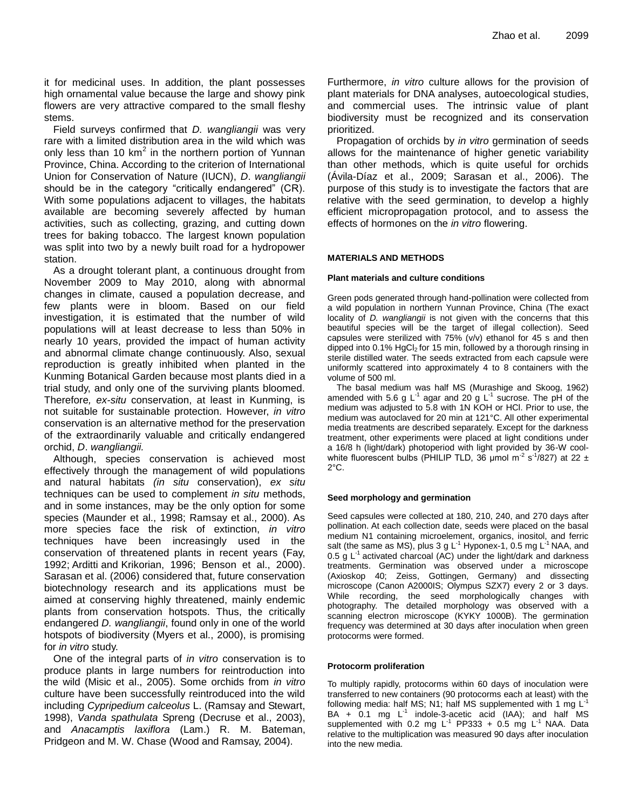it for medicinal uses. In addition, the plant possesses high ornamental value because the large and showy pink flowers are very attractive compared to the small fleshy stems.

Field surveys confirmed that *D. wangliangii* was very rare with a limited distribution area in the wild which was only less than 10 km<sup>2</sup> in the northern portion of Yunnan Province, China. According to the criterion of International Union for Conservation of Nature (IUCN), *D*. *wangliangii* should be in the category "critically endangered" (CR). With some populations adjacent to villages, the habitats available are becoming severely affected by human activities, such as collecting, grazing, and cutting down trees for baking tobacco. The largest known population was split into two by a newly built road for a hydropower station.

As a drought tolerant plant, a continuous drought from November 2009 to May 2010, along with abnormal changes in climate, caused a population decrease, and few plants were in bloom. Based on our field investigation, it is estimated that the number of wild populations will at least decrease to less than 50% in nearly 10 years, provided the impact of human activity and abnormal climate change continuously. Also, sexual reproduction is greatly inhibited when planted in the Kunming Botanical Garden because most plants died in a trial study, and only one of the surviving plants bloomed. Therefore*, ex-situ* conservation, at least in Kunming, is not suitable for sustainable protection. However, *in vitro*  conservation is an alternative method for the preservation of the extraordinarily valuable and critically endangered orchid, *D*. *wangliangii.*

Although, species conservation is achieved most effectively through the management of wild populations and natural habitats *(in situ* conservation), *ex situ*  techniques can be used to complement *in situ* methods, and in some instances, may be the only option for some species (Maunder et al., 1998; Ramsay et al., 2000). As more species face the risk of extinction, *in vitro*  techniques have been increasingly used in the conservation of threatened plants in recent years (Fay, 1992; Arditti and Krikorian, 1996; Benson et al., 2000). Sarasan et al. (2006) considered that, future conservation biotechnology research and its applications must be aimed at conserving highly threatened, mainly endemic plants from conservation hotspots. Thus, the critically endangered *D. wangliangii*, found only in one of the world hotspots of biodiversity (Myers et al., 2000), is promising for *in vitro* study.

One of the integral parts of *in vitro* conservation is to produce plants in large numbers for reintroduction into the wild (Misic et al., 2005). Some orchids from *in vitro*  culture have been successfully reintroduced into the wild including *Cypripedium calceolus* L. (Ramsay and Stewart, 1998), *Vanda spathulata* Spreng (Decruse et al., 2003), and *Anacamptis laxiflora* (Lam.) R. M. Bateman, Pridgeon and M. W. Chase (Wood and Ramsay, 2004).

Furthermore, *in vitro* culture allows for the provision of plant materials for DNA analyses, autoecological studies, and commercial uses. The intrinsic value of plant biodiversity must be recognized and its conservation prioritized.

Propagation of orchids by *in vitro* germination of seeds allows for the maintenance of higher genetic variability than other methods, which is quite useful for orchids (Ávila-Díaz et al., 2009; Sarasan et al., 2006). The purpose of this study is to investigate the factors that are relative with the seed germination, to develop a highly efficient micropropagation protocol, and to assess the effects of hormones on the *in vitro* flowering.

# **MATERIALS AND METHODS**

#### **Plant materials and culture conditions**

Green pods generated through hand-pollination were collected from a wild population in northern Yunnan Province, China (The exact locality of *D. wangliangii* is not given with the concerns that this beautiful species will be the target of illegal collection). Seed capsules were sterilized with 75% (v/v) ethanol for 45 s and then dipped into  $0.1\%$  HgCl<sub>2</sub> for 15 min, followed by a thorough rinsing in sterile distilled water. The seeds extracted from each capsule were uniformly scattered into approximately 4 to 8 containers with the volume of 500 ml.

The basal medium was half MS (Murashige and Skoog, 1962) amended with 5.6 g  $L^{-1}$  agar and 20 g  $L^{-1}$  sucrose. The pH of the medium was adjusted to 5.8 with 1N KOH or HCl. Prior to use, the medium was autoclaved for 20 min at 121°C. All other experimental media treatments are described separately. Except for the darkness treatment, other experiments were placed at light conditions under a 16/8 h (light/dark) photoperiod with light provided by 36-W coolwhite fluorescent bulbs (PHILIP TLD, 36 µmol m<sup>-2</sup> s<sup>-1</sup>/827) at 22 ±  $2^{\circ}$ C.

#### **Seed morphology and germination**

Seed capsules were collected at 180, 210, 240, and 270 days after pollination. At each collection date, seeds were placed on the basal medium N1 containing microelement, organics, inositol, and ferric salt (the same as MS), plus 3 g L<sup>-1</sup> Hyponex-1, 0.5 mg L<sup>-1</sup> NAA, and 0.5 g  $L^{-1}$  activated charcoal (AC) under the light/dark and darkness treatments. Germination was observed under a microscope (Axioskop 40; Zeiss, Gottingen, Germany) and [dissecting](http://dict.cnki.net/dict_result.aspx?searchword=%e8%a7%a3%e5%89%96%e9%95%9c&tjType=sentence&style=&t=dissecting+microscope)  [microscope](http://dict.cnki.net/dict_result.aspx?searchword=%e8%a7%a3%e5%89%96%e9%95%9c&tjType=sentence&style=&t=dissecting+microscope) (Canon A2000IS; Olympus SZX7) every 2 or 3 days. While recording, the seed morphologically changes with photography. The detailed morphology was observed with a scanning electron microscope (KYKY 1000B). The germination frequency was determined at 30 days after inoculation when green protocorms were formed.

#### **Protocorm proliferation**

To multiply rapidly, protocorms within 60 days of inoculation were transferred to new containers (90 protocorms each at least) with the following media: half MS; N1; half MS supplemented with 1 mg  $L^{-1}$ BA +  $0.1$  mg  $L^{-1}$  indole-3-acetic acid (IAA); and half MS supplemented with 0.2 mg  $L^{-1}$  PP333 + 0.5 mg  $L^{-1}$  NAA. Data relative to the multiplication was measured 90 days after inoculation into the new media.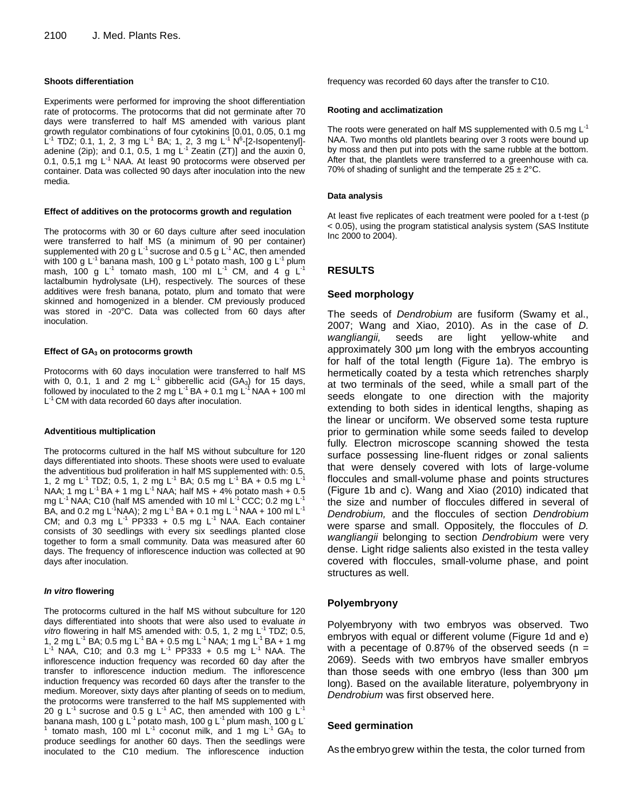#### **Shoots differentiation**

Experiments were performed for improving the shoot differentiation rate of protocorms. The protocorms that did not germinate after 70 days were transferred to half MS amended with various plant growth regulator combinations of four cytokinins [0.01, 0.05, 0.1 mg  $\tilde{L}^{-1}$  TDZ; 0.1, 1, 2, 3 mg L<sup>-1</sup> BA; 1, 2, 3 mg L<sup>-1</sup> N<sup>6</sup>-[2-Isopentenyl]adenine (2ip); and 0.1, 0.5, 1 mg  $L^{-1}$  Zeatin (ZT)] and the auxin 0, 0.1, 0.5,1 mg  $L^{-1}$  NAA. At least 90 protocorms were observed per container. Data was collected 90 days after inoculation into the new media.

#### **Effect of additives on the protocorms growth and regulation**

The protocorms with 30 or 60 days culture after seed inoculation were transferred to half MS (a minimum of 90 per container) supplemented with 20 g  $L^{-1}$  sucrose and 0.5 g  $L^{-1}$  AC, then amended with 100 g  $L^{-1}$  banana mash, 100 g  $L^{-1}$  potato mash, 100 g  $L^{-1}$  plum mash, 100 g L<sup>-1</sup> tomato mash, 100 ml L<sup>-1</sup> CM, and 4 g L<sup>-1</sup> lactalbumin hydrolysate (LH), respectively. The sources of these additives were fresh banana, potato, plum and tomato that were skinned and homogenized in a blender. CM previously produced was stored in -20°C. Data was collected from 60 days after inoculation.

#### **Effect of GA<sup>3</sup> on protocorms growth**

Protocorms with 60 days inoculation were transferred to half MS with 0, 0.1, 1 and 2 mg  $L^{-1}$  gibberellic acid (GA<sub>3</sub>) for 15 days, followed by inoculated to the 2 mg  $L^{-1}BA + 0.1$  mg  $L^{-1}NAA + 100$  ml L<sup>-1</sup> CM with data recorded 60 days after inoculation.

#### **Adventitious multiplication**

The protocorms cultured in the half MS without subculture for 120 days differentiated into shoots. These shoots were used to evaluate th[e adventitious bud proliferation](http://dict.cnki.net/dict_result.aspx?searchword=%e4%b8%8d%e5%ae%9a%e8%8a%bd%e5%a2%9e%e6%ae%96&tjType=sentence&style=&t=adventitious+bud+proliferation) in half MS supplemented with: 0.5, 1, 2 mg L<sup>-1</sup> TDZ; 0.5, 1, 2 mg L<sup>-1</sup> BA; 0.5 mg L<sup>-1</sup> BA + 0.5 mg L<sup>-1</sup> NAA; 1 mg L<sup>-1</sup> BA + 1 mg L<sup>-1</sup> NAA; half MS + 4% potato mash + 0.5 mg L<sup>-1</sup> NAA; C10 (half MS amended with 10 ml L<sup>-1</sup> CCC; 0.2 mg L<sup>-1</sup> mg L<sup>-1</sup> NAA; C10 (half MS amended with 10 ml L<sup>-1</sup> CCC; 0.2 mg L<sup>-1</sup> BA, and 0.2 mg L<sup>-1</sup> NAA); 2 mg L<sup>-1</sup> BA + 0.1 mg L<sup>-1</sup> NAA + 100 ml L<sup>-1</sup> CM; and 0.3 mg  $L^{-1}$  PP333 + 0.5 mg  $L^{-1}$  NAA. Each container consists of 30 seedlings with every six seedlings planted close together to form a small community. Data was measured after 60 days. The frequency of inflorescence induction was collected at 90 days after inoculation.

#### *In vitro* **flowering**

The protocorms cultured in the half MS without subculture for 120 days differentiated into shoots that were also used to evaluate *in vitro* flowering in half MS amended with: 0.5, 1, 2 mg L<sup>-1</sup> TDZ; 0.5, 1, 2 mg L-1 BA; 0.5 mg L-1 BA + 0.5 mg L-1 NAA; 1 mg L-1 BA + 1 mg  $L^{-1}$  NAA, C10; and 0.3 mg L<sup>-1</sup> PP333 + 0.5 mg L<sup>-1</sup> NAA. The inflorescence induction frequency was recorded 60 day after the transfer to inflorescence induction medium. The inflorescence induction frequency was recorded 60 days after the transfer to the medium. Moreover, sixty days after planting of seeds on to medium, the protocorms were transferred to the half MS supplemented with 20 g L<sup>1</sup> sucrose and 0.5 g L<sup>1</sup> AC, then amended with 100 g L<sup>1</sup> banana mash, 100 g L<sup>-1</sup> potato mash, 100 g L<sup>-1</sup> plum mash, 100 g L<sup>-1</sup><br>1 tomata mash, 100 mLL<sup>-1</sup> cocoput, milk, and 1 mg L<sup>-1</sup> CA, to tomato mash, 100 ml L<sup>-1</sup> coconut milk, and 1 mg L<sup>-1</sup> GA<sub>3</sub> to produce seedlings for another 60 days. Then the seedlings were inoculated to the C10 medium. The inflorescence induction

frequency was recorded 60 days after the transfer to C10.

#### **Rooting and acclimatization**

The roots were generated on half MS supplemented with 0.5 mg  $L^{-1}$ NAA. Two months old plantlets bearing over 3 roots were bound up by moss and then put into pots with the same rubble at the bottom. After that, the plantlets were transferred to a greenhouse with ca. 70% of shading of sunlight and the temperate  $25 \pm 2^{\circ}$ C.

#### **Data analysis**

At least five replicates of each treatment were pooled for a t-test (p < 0.05), using the program statistical analysis system (SAS Institute Inc 2000 to 2004).

# **RESULTS**

#### **Seed morphology**

The seeds of *Dendrobium* are fusiform (Swamy et al., 2007; Wang and Xiao, 2010). As in the case of *D. wangliangii,* seeds are light yellow-white and approximately 300 μm long with the embryos accounting for half of the total length (Figure 1a). The embryo is hermetically coated by a testa which retrenches sharply at two terminals of the seed, while a small part of the seeds elongate to one direction with the majority extending to both sides in identical lengths, shaping as the linear or unciform. We observed some testa rupture prior to germination while some seeds failed to develop fully. [Electron microscope scanning](http://dict.cnki.net/dict_result.aspx?searchword=%e7%94%b5%e9%95%9c%e6%89%ab%e6%8f%8f&tjType=sentence&style=&t=electron+microscope+scanning) showed the testa surface possessing line-fluent ridges or zonal salients that were densely covered with lots of large-volume floccules and small-volume phase and points structures (Figure 1b and c). Wang and Xiao (2010) indicated that the size and number of floccules differed in several of *Dendrobium,* and the floccules of section *Dendrobium* were sparse and small. Oppositely, the floccules of *D. wangliangii* belonging to section *Dendrobium* were very dense. Light ridge salients also existed in the testa valley covered with floccules, small-volume phase, and point structures as well.

# **Polyembryony**

Polyembryony with two embryos was observed. Two embryos with equal or different volume (Figure 1d and e) with a pecentage of 0.87% of the observed seeds ( $n =$ 2069). Seeds with two embryos have smaller embryos than those seeds with one embryo (less than 300 μm long). Based on the available literature, polyembryony in *Dendrobium* was first observed here.

#### **Seed germination**

As the embryo grew within the testa, the color turned from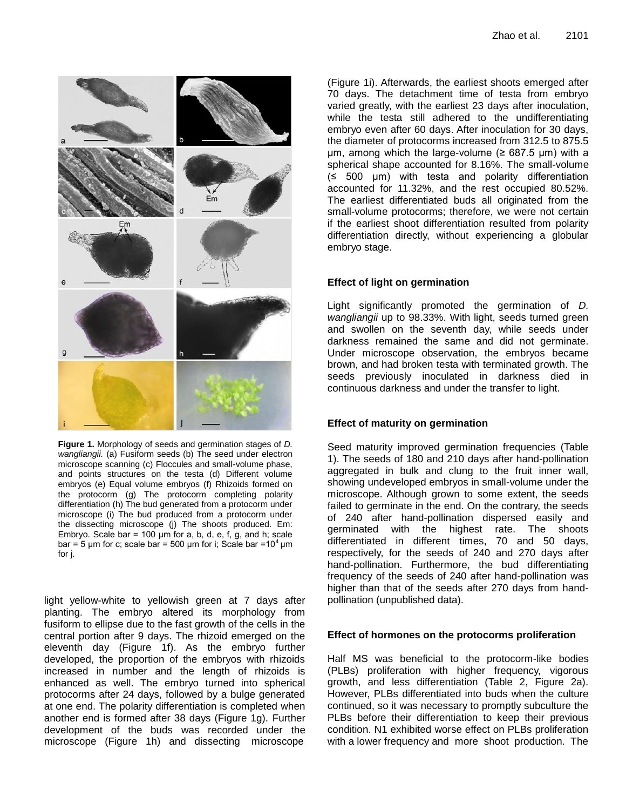

**Figure 1.** Morphology of seeds and germination stages of *D. wangliangii.* (a) Fusiform seeds (b) The seed under [electron](http://dict.cnki.net/dict_result.aspx?searchword=%e7%94%b5%e9%95%9c%e6%89%ab%e6%8f%8f&tjType=sentence&style=&t=electron+microscope+scanning)  [microscope scanning](http://dict.cnki.net/dict_result.aspx?searchword=%e7%94%b5%e9%95%9c%e6%89%ab%e6%8f%8f&tjType=sentence&style=&t=electron+microscope+scanning) (c) Floccules and small-volume phase, and points structures on the testa (d) Different volume embryos (e) Equal volume embryos (f) Rhizoids formed on the protocorm (g) The protocorm completing polarity differentiation (h) The bud generated from a protocorm under microscope (i) The bud produced from a protocorm under the dissecting microscope (j) The shoots produced. Em: Embryo. Scale bar = 100  $\mu$ m for a, b, d, e, f, g, and h; scale bar = 5 μm for c; scale bar = 500 μm for i; Scale bar =  $10<sup>4</sup>$  μm for j.

light yellow-white to yellowish green at 7 days after planting. The embryo altered its morphology from fusiform to ellipse due to the fast growth of the cells in the central portion after 9 days. The rhizoid emerged on the eleventh day (Figure 1f). As the embryo further developed, the proportion of the embryos with rhizoids increased in number and the length of rhizoids is enhanced as well. The embryo turned into spherical protocorms after 24 days, followed by a bulge generated at one end. The polarity differentiation is completed when another end is formed after 38 days (Figure 1g). Further development of the buds was recorded under the microscope (Figure 1h) and dissecting microscope (Figure 1i). Afterwards, the earliest shoots emerged after 70 days. The detachment time of testa from embryo varied greatly, with the earliest 23 days after inoculation, while the testa still adhered to the undifferentiating embryo even after 60 days. After inoculation for 30 days, the diameter of protocorms increased from 312.5 to 875.5  $\mu$ m, among which the large-volume ( $\geq 687.5$   $\mu$ m) with a spherical shape accounted for 8.16%. The small-volume  $(5.500 \mu m)$  with testa and polarity differentiation accounted for 11.32%, and the rest occupied 80.52%. The earliest differentiated buds all originated from the small-volume protocorms; therefore, we were not certain if the earliest shoot differentiation resulted from polarity differentiation directly, without experiencing a globular embryo stage.

#### **Effect of light on germination**

Light significantly promoted the germination of *D. wangliangii* up to 98.33%. With light, seeds turned green and swollen on the seventh day, while seeds under darkness remained the same and did not germinate. Under microscope observation, the embryos became brown, and had broken testa with terminated growth. The seeds previously inoculated in darkness died in continuous darkness and under the transfer to light.

#### **Effect of maturity on germination**

Seed maturity improved germination frequencies (Table 1). The seeds of 180 and 210 days after hand-pollination aggregated in bulk and clung to the fruit inner wall, showing undeveloped embryos in small-volume under the microscope. Although grown to some extent, the seeds failed to germinate in the end. On the contrary, the seeds of 240 after hand-pollination dispersed easily and germinated with the highest rate. The shoots differentiated in different times, 70 and 50 days, respectively, for the seeds of 240 and 270 days after hand-pollination. Furthermore, the bud differentiating frequency of the seeds of 240 after hand-pollination was higher than that of the seeds after 270 days from handpollination (unpublished data).

#### **Effect of hormones on the protocorms proliferation**

Half MS was beneficial to the protocorm-like bodies (PLBs) proliferation with higher frequency, vigorous growth, and less differentiation (Table 2, Figure 2a). However, PLBs differentiated into buds when the culture continued, so it was necessary to promptly subculture the PLBs before their differentiation to keep their previous condition. N1 exhibited worse effect on PLBs proliferation with a lower frequency and more shoot production. The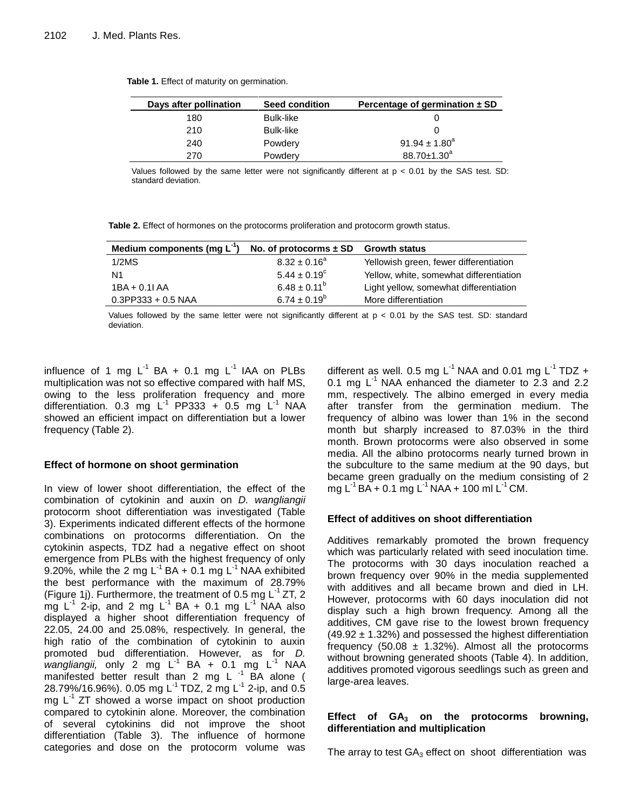| Days after pollination | <b>Seed condition</b> | Percentage of germination $\pm$ SD |
|------------------------|-----------------------|------------------------------------|
| 180                    | Bulk-like             |                                    |
| 210                    | Bulk-like             |                                    |
| 240                    | Powdery               | $91.94 \pm 1.80^a$                 |
| 270                    | Powderv               | 88.70±1.30 <sup>a</sup>            |

**Table 1.** Effect of maturity on germination.

Values followed by the same letter were not significantly different at  $p < 0.01$  by the SAS test. SD: standard deviation.

**Table 2.** Effect of hormones on the protocorms proliferation and protocorm growth status.

| Medium components (mg $L^{-1}$ ) | No. of protocorms $\pm$ SD Growth status |                                         |
|----------------------------------|------------------------------------------|-----------------------------------------|
| 1/2MS                            | $8.32 \pm 0.16^a$                        | Yellowish green, fewer differentiation  |
| N1                               | $5.44 \pm 0.19^{\circ}$                  | Yellow, white, somewhat differentiation |
| $1BA + 0.1IAA$                   | $6.48 \pm 0.11^b$                        | Light yellow, somewhat differentiation  |
| $0.3$ PP333 + 0.5 NAA            | $6.74 \pm 0.19^b$                        | More differentiation                    |

Values followed by the same letter were not significantly different at  $p < 0.01$  by the SAS test. SD: standard deviation.

influence of 1 mg  $L^{-1}$  BA + 0.1 mg  $L^{-1}$  IAA on PLBs multiplication was not so effective compared with half MS, owing to the less proliferation frequency and more differentiation.  $0.3 \text{ mg } L^{-1}$  PP333 + 0.5 mg  $L^{-1}$  NAA showed an efficient impact on differentiation but a lower frequency (Table 2).

# **Effect of hormone on shoot germination**

In view of lower shoot differentiation, the effect of the combination of cytokinin and auxin on *D. wangliangii*  protocorm shoot differentiation was investigated (Table 3). Experiments indicated different effects of the hormone combinations on protocorms differentiation. On the cytokinin aspects, TDZ had a negative effect on shoot emergence from PLBs with the highest frequency of only 9.20%, while the 2 mg  $L^{-1}BA + 0.1$  mg  $L^{-1}NAA$  exhibited the best performance with the maximum of 28.79% (Figure 1j). Furthermore, the treatment of 0.5 mg  $L^{-1} ZT$ , 2 mg L<sup>1</sup> 2-ip, and 2 mg L<sup>1</sup> BA + 0.1 mg L<sup>1</sup> NAA also displayed a higher shoot differentiation frequency of 22.05, 24.00 and 25.08%, respectively. In general, the high ratio of the combination of cytokinin to auxin promoted bud differentiation. However, as for *D. wangliangii,* only 2 mg L-1 BA + 0.1 mg L-1 NAA manifested better result than 2 mg L $^{-1}$  BA alone ( 28.79%/16.96%). 0.05 mg L<sup>-1</sup> TDZ, 2 mg L<sup>-1</sup> 2-ip, and 0.5 mg  $L^{-1}$  ZT showed a worse impact on shoot production compared to cytokinin alone. Moreover, the combination of several cytokinins did not improve the shoot differentiation (Table 3). The influence of hormone categories and dose on the protocorm volume was

different as well. 0.5 mg  $L^{-1}$  NAA and 0.01 mg  $L^{-1}$  TDZ + 0.1 mg  $L^{-1}$  NAA enhanced the diameter to 2.3 and 2.2 mm, respectively. The albino emerged in every media after transfer from the germination medium. The frequency of albino was lower than 1% in the second month but sharply increased to 87.03% in the third month. Brown protocorms were also observed in some media. All the albino protocorms nearly turned brown in the subculture to the same medium at the 90 days, but became green gradually on the medium consisting of 2 mg L<sup>-1</sup> BA + 0.1 mg L<sup>-1</sup> NAA + 100 ml L<sup>-1</sup> CM.

# **Effect of additives on shoot differentiation**

Additives remarkably promoted the brown frequency which was particularly related with seed inoculation time. The protocorms with 30 days inoculation reached a brown frequency over 90% in the media supplemented with additives and all became brown and died in LH. However, protocorms with 60 days inoculation did not display such a high brown frequency. Among all the additives, CM gave rise to the lowest brown frequency  $(49.92 \pm 1.32%)$  and possessed the highest differentiation frequency (50.08  $\pm$  1.32%). Almost all the protocorms without browning generated shoots (Table 4). In addition, additives promoted vigorous seedlings such as green and large-area leaves.

# **Effect of GA<sup>3</sup> on the protocorms browning, differentiation and multiplication**

The array to test  $GA_3$  effect on shoot differentiation was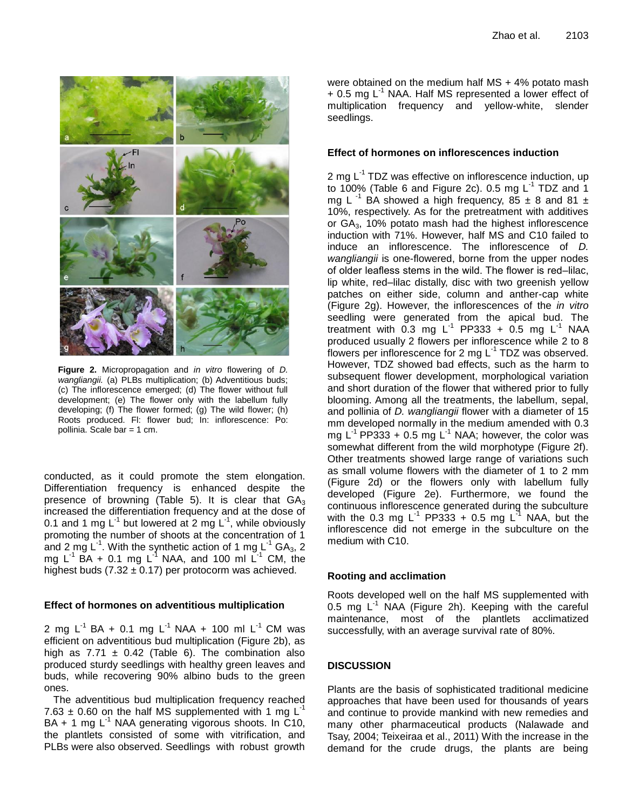

**Figure 2.** Micropropagation and *in vitro* flowering of *D. wangliangii.* (a) PLBs multiplication; (b) Adventitious buds; (c) The inflorescence emerged; (d) The flower without full development; (e) The flower only with the labellum fully developing; (f) The flower formed; (g) The wild flower; (h) Roots produced. Fl: flower bud; In: inflorescence: Po: pollinia. Scale bar = 1 cm.

conducted, as it could promote the stem elongation. Differentiation frequency is enhanced despite the presence of browning (Table 5). It is clear that  $GA_3$ increased the differentiation frequency and at the dose of 0.1 and 1 mg  $L^{-1}$  but lowered at 2 mg  $L^{-1}$ , while obviously promoting the number of shoots at the concentration of 1 and 2 mg L<sup>-1</sup>. With the synthetic action of 1 mg L<sup>-1</sup> GA<sub>3</sub>, 2 mg  $L^{-1}$  BA + 0.1 mg  $L^{-1}$  NAA, and 100 ml  $L^{-1}$  CM, the highest buds (7.32  $\pm$  0.17) per protocorm was achieved.

#### **Effect of hormones on adventitious multiplication**

2 mg L<sup>-1</sup> BA + 0.1 mg L<sup>-1</sup> NAA + 100 ml L<sup>-1</sup> CM was efficient on adventitious bud multiplication (Figure 2b), as high as  $7.71 \pm 0.42$  (Table 6). The combination also produced sturdy seedlings with healthy green leaves and buds, while recovering 90% albino buds to the green ones.

The adventitious bud multiplication frequency reached 7.63  $\pm$  0.60 on the half MS supplemented with 1 mg L<sup>-1</sup>  $BA + 1$  mg L<sup>-1</sup> NAA generating vigorous shoots. In C10, the plantlets consisted of some with vitrification, and PLBs were also observed. Seedlings with robust growth

were obtained on the medium half  $MS + 4%$  potato mash  $+$  0.5 mg L<sup>-1</sup> NAA. Half MS represented a lower effect of multiplication frequency and yellow-white, slender seedlings.

#### **Effect of hormones on inflorescences induction**

2 mg L<sup>-1</sup> TDZ was effective on inflorescence induction, up to 100% (Table 6 and Figure 2c). 0.5 mg L<sup>-1</sup> TDZ and 1 mg L<sup>-1</sup> BA showed a high frequency,  $85 \pm 8$  and 81  $\pm$ 10%, respectively. As for the pretreatment with additives or  $GA<sub>3</sub>$ , 10% potato mash had the highest inflorescence induction with 71%. However, half MS and C10 failed to induce an inflorescence. The inflorescence of *D. wangliangii* is one-flowered, borne from the upper nodes of older leafless stems in the wild. The flower is red–lilac, lip white, red–lilac distally, disc with two greenish yellow patches on either side, column and anther-cap white (Figure 2g). However, the inflorescences of the *in vitro*  seedling were generated from the apical bud. The treatment with  $0.3 \text{ mg L}^1$  PP333 + 0.5 mg L<sup>-1</sup> NAA produced usually 2 flowers per inflorescence while 2 to 8 flowers per inflorescence for 2 mg L<sup>-1</sup> TDZ was observed. However, TDZ showed bad effects, such as the harm to subsequent flower development, morphological variation and short duration of the flower that withered prior to fully blooming. Among all the treatments, the labellum, sepal, and pollinia of *D. wangliangii* flower with a diameter of 15 mm developed normally in the medium amended with 0.3 mg  $L^{-1}$  PP333 + 0.5 mg  $L^{-1}$  NAA; however, the color was somewhat different from the wild morphotype (Figure 2f). Other treatments showed large range of variations such as small volume flowers with the diameter of 1 to 2 mm (Figure 2d) or the flowers only with labellum fully developed (Figure 2e). Furthermore, we found the continuous inflorescence generated during the subculture with the 0.3 mg L<sup>-1</sup> PP333 + 0.5 mg L<sup>-1</sup> NAA, but the inflorescence did not emerge in the subculture on the medium with C10.

#### **Rooting and acclimation**

Roots developed well on the half MS supplemented with 0.5 mg  $L^{-1}$  NAA (Figure 2h). Keeping with the careful maintenance, most of the plantlets acclimatized successfully, with an average survival rate of 80%.

# **DISCUSSION**

Plants are the basis of sophisticated traditional medicine approaches that have been used for thousands of years and continue to provide mankind with new remedies and many other pharmaceutical products (Nalawade and Tsay, 2004; Teixeiraa et al., 2011) With the increase in the demand for the crude drugs, the plants are being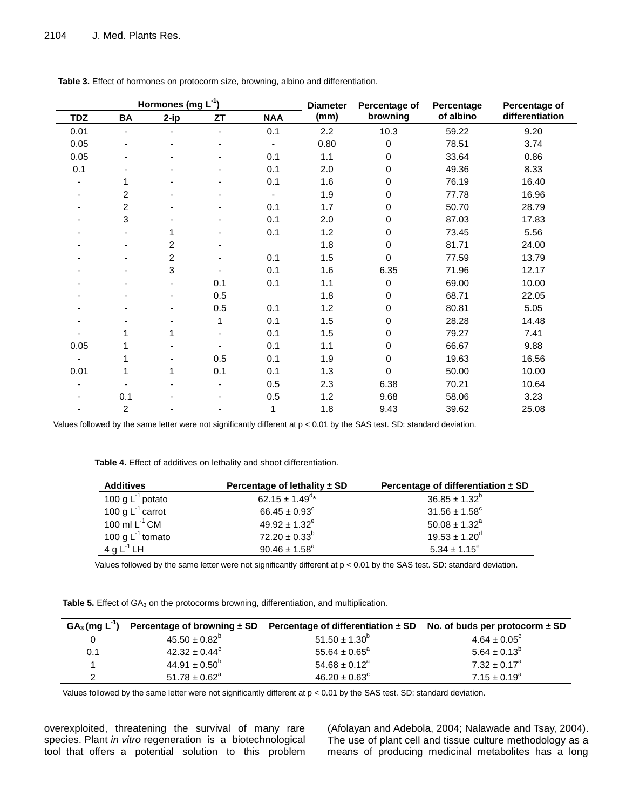| Hormones (mg $L^{-1}$ ) |                |         | <b>Diameter</b><br>Percentage of | Percentage     | Percentage of |          |           |                 |
|-------------------------|----------------|---------|----------------------------------|----------------|---------------|----------|-----------|-----------------|
| <b>TDZ</b>              | <b>BA</b>      | $2$ -ip | <b>ZT</b>                        | <b>NAA</b>     | (mm)          | browning | of albino | differentiation |
| 0.01                    | ۰              | ٠       | $\overline{\phantom{a}}$         | 0.1            | 2.2           | 10.3     | 59.22     | 9.20            |
| 0.05                    |                |         |                                  |                | 0.80          | 0        | 78.51     | 3.74            |
| 0.05                    |                | ٠       | ٠                                | 0.1            | 1.1           | 0        | 33.64     | 0.86            |
| 0.1                     |                |         | -                                | 0.1            | 2.0           | 0        | 49.36     | 8.33            |
|                         | 1              | ٠       | -                                | 0.1            | 1.6           | 0        | 76.19     | 16.40           |
|                         | 2              |         |                                  | $\blacksquare$ | 1.9           | 0        | 77.78     | 16.96           |
|                         | 2              |         | -                                | 0.1            | 1.7           | 0        | 50.70     | 28.79           |
|                         | 3              |         | -                                | 0.1            | 2.0           | 0        | 87.03     | 17.83           |
|                         | ٠              | 1       | -                                | 0.1            | 1.2           | 0        | 73.45     | 5.56            |
|                         |                | 2       |                                  |                | 1.8           | 0        | 81.71     | 24.00           |
|                         |                | 2       | $\blacksquare$                   | 0.1            | 1.5           | 0        | 77.59     | 13.79           |
|                         |                | 3       |                                  | 0.1            | 1.6           | 6.35     | 71.96     | 12.17           |
|                         |                | ٠       | 0.1                              | 0.1            | 1.1           | 0        | 69.00     | 10.00           |
|                         |                |         | 0.5                              |                | 1.8           | 0        | 68.71     | 22.05           |
|                         |                |         | 0.5                              | 0.1            | 1.2           | 0        | 80.81     | 5.05            |
|                         |                |         | 1                                | 0.1            | 1.5           | 0        | 28.28     | 14.48           |
|                         |                | 1       |                                  | 0.1            | 1.5           | 0        | 79.27     | 7.41            |
| 0.05                    |                |         |                                  | 0.1            | 1.1           | 0        | 66.67     | 9.88            |
|                         |                |         | 0.5                              | 0.1            | 1.9           | 0        | 19.63     | 16.56           |
| 0.01                    |                | 1       | 0.1                              | 0.1            | 1.3           | $\Omega$ | 50.00     | 10.00           |
|                         |                |         |                                  | 0.5            | 2.3           | 6.38     | 70.21     | 10.64           |
|                         | 0.1            |         | $\blacksquare$                   | 0.5            | 1.2           | 9.68     | 58.06     | 3.23            |
|                         | $\overline{2}$ |         |                                  | 1              | 1.8           | 9.43     | 39.62     | 25.08           |

**Table 3.** Effect of hormones on protocorm size, browning, albino and differentiation.

Values followed by the same letter were not significantly different at  $p < 0.01$  by the SAS test. SD: standard deviation.

**Table 4.** Effect of additives on lethality and shoot differentiation.

| <b>Additives</b>      | Percentage of lethality $\pm$ SD | Percentage of differentiation $\pm$ SD |
|-----------------------|----------------------------------|----------------------------------------|
| 100 g $L^{-1}$ potato | $62.15 \pm 1.49^{d*}$            | $36.85 \pm 1.32^b$                     |
| 100 g $L^{-1}$ carrot | $66.45 \pm 0.93^c$               | $31.56 \pm 1.58^{\circ}$               |
| 100 ml $L^{-1}$ CM    | $49.92 \pm 1.32^e$               | $50.08 \pm 1.32^a$                     |
| 100 g $L^{-1}$ tomato | $72.20 \pm 0.33^b$               | $19.53 \pm 1.20^d$                     |
| 4 g $L^{-1}$ LH       | $90.46 \pm 1.58^a$               | $5.34 \pm 1.15^e$                      |
|                       |                                  |                                        |

Values followed by the same letter were not significantly different at  $p < 0.01$  by the SAS test. SD: standard deviation.

Table 5. Effect of GA<sub>3</sub> on the protocorms browning, differentiation, and multiplication.

| $GA_3$ (mg $L^{-1}$ ) |                          | Percentage of browning $\pm$ SD Percentage of differentiation $\pm$ SD No. of buds per protocorm $\pm$ SD |                         |
|-----------------------|--------------------------|-----------------------------------------------------------------------------------------------------------|-------------------------|
|                       | $45.50 \pm 0.82^b$       | $51.50 \pm 1.30^{\circ}$                                                                                  | $4.64 \pm 0.05^{\circ}$ |
| 0.1                   | $42.32 \pm 0.44^{\circ}$ | $55.64 \pm 0.65^a$                                                                                        | $5.64 \pm 0.13^b$       |
|                       | $44.91 \pm 0.50^b$       | $54.68 \pm 0.12^a$                                                                                        | $7.32 \pm 0.17^a$       |
|                       | $51.78 \pm 0.62^a$       | $46.20 \pm 0.63^{\circ}$                                                                                  | $7.15 \pm 0.19^a$       |

Values followed by the same letter were not significantly different at  $p < 0.01$  by the SAS test. SD: standard deviation.

overexploited, threatening the survival of many rare species. Plant *in vitro* regeneration is a biotechnological tool that offers a potential solution to this problem (Afolayan and Adebola, 2004; Nalawade and Tsay, 2004). The use of plant cell and tissue culture methodology as a means of producing medicinal metabolites has a long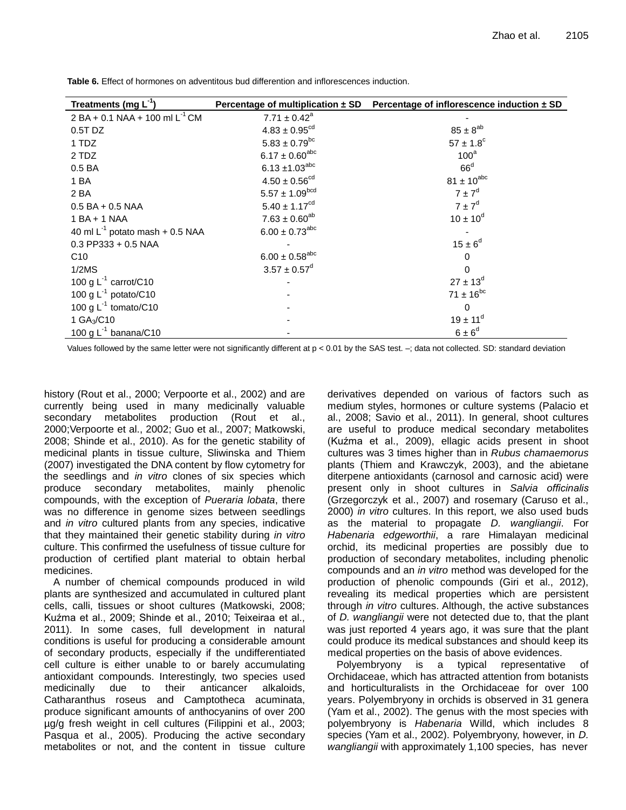**Table 6.** Effect of hormones on adventitous bud differention and inflorescences induction.

| Treatments (mg $L^{-1}$ )                  | Percentage of multiplication $\pm$ SD | Percentage of inflorescence induction $\pm$ SD |
|--------------------------------------------|---------------------------------------|------------------------------------------------|
| 2 BA + 0.1 NAA + 100 ml L <sup>-1</sup> CM | $7.71 \pm 0.42^a$                     |                                                |
| $0.5T$ DZ                                  | $4.83 \pm 0.95^{cd}$                  | $85 \pm 8^{ab}$                                |
| 1 TDZ                                      | $5.83 \pm 0.79^{bc}$                  | $57 \pm 1.8^{\circ}$                           |
| 2 TDZ                                      | $6.17 \pm 0.60^{\rm abc}$             | 100 <sup>a</sup>                               |
| 0.5 BA                                     | $6.13 \pm 1.03$ <sup>abc</sup>        | 66 <sup>d</sup>                                |
| 1 BA                                       | $4.50 \pm 0.56$ <sup>cd</sup>         | $81 \pm 10^{abc}$                              |
| 2 BA                                       | $5.57 \pm 1.09^{bcd}$                 | $7 \pm 7^d$                                    |
| $0.5$ BA + 0.5 NAA                         | $5.40 \pm 1.17^{cd}$                  | $7 \pm 7^d$                                    |
| $1BA + 1 NAA$                              | $7.63 \pm 0.60^{ab}$                  | $10 \pm 10^d$                                  |
| 40 ml $L^{-1}$ potato mash + 0.5 NAA       | $6.00 \pm 0.73^{\rm abc}$             |                                                |
| $0.3$ PP333 + 0.5 NAA                      |                                       | $15 \pm 6^d$                                   |
| C10                                        | $6.00 \pm 0.58$ <sup>abc</sup>        | 0                                              |
| 1/2MS                                      | $3.57 \pm 0.57$ <sup>d</sup>          | $\mathbf{0}$                                   |
| 100 g $L^{-1}$ carrot/C10                  |                                       | $27 \pm 13^{d}$                                |
| 100 g $L^{-1}$ potato/C10                  |                                       | $71 \pm 16^{bc}$                               |
| 100 g $L^{-1}$ tomato/C10                  |                                       | $\Omega$                                       |
| 1 $GA3/C10$                                |                                       | $19 \pm 11^d$                                  |
| 100 g $L^{-1}$ banana/C10                  |                                       | $6 \pm 6^d$                                    |

Values followed by the same letter were not significantly different at  $p < 0.01$  by the SAS test.  $-$ ; data not collected. SD: standard deviation

history (Rout et al., 2000; Verpoorte et al., 2002) and are currently being used in many medicinally valuable secondary metabolites production (Rout et al., 2000;Verpoorte et al., 2002; Guo et al., 2007; Matkowski, 2008; Shinde et al., 2010). As for the genetic stability of medicinal plants in tissue culture, Sliwinska and Thiem (2007) investigated the DNA content by flow cytometry for the seedlings and *in vitro* clones of six species which produce secondary metabolites, mainly phenolic compounds, with the exception of *Pueraria lobata*, there was no difference in genome sizes between seedlings and *in vitro* cultured plants from any species, indicative that they maintained their genetic stability during *in vitro*  culture. This confirmed the usefulness of tissue culture for production of certified plant material to obtain herbal medicines.

A number of chemical compounds produced in wild plants are synthesized and accumulated in cultured plant cells, calli, tissues or shoot cultures (Matkowski, 2008; Kuźma et al., 2009; Shinde et al., 2010; Teixeiraa et al., 2011). In some cases, full development in natural conditions is useful for producing a considerable amount of secondary products, especially if the undifferentiated cell culture is either unable to or barely accumulating antioxidant compounds. Interestingly, two species used medicinally due to their anticancer alkaloids, Catharanthus roseus and Camptotheca acuminata, produce significant amounts of anthocyanins of over 200 µg/g fresh weight in cell cultures (Filippini et al., 2003; Pasqua et al., 2005). Producing the active secondary metabolites or not, and the content in tissue culture derivatives depended on various of factors such as medium styles, hormones or culture systems (Palacio et al., 2008; Savio et al., 2011). In general, shoot cultures are useful to produce medical secondary metabolites (Kuźma et al., 2009), ellagic acids present in shoot cultures was 3 times higher than in *Rubus chamaemorus* plants (Thiem and Krawczyk, 2003), and the abietane diterpene antioxidants (carnosol and carnosic acid) were present only in shoot cultures in *Salvia officinalis* (Grzegorczyk et al., 2007) and rosemary (Caruso et al., 2000) *in vitro* cultures. In this report, we also used buds as the material to propagate *D. wangliangii*. For *Habenaria edgeworthii*, a rare Himalayan medicinal orchid, its medicinal properties are possibly due to production of secondary metabolites, including phenolic compounds and an *in vitro* method was developed for the production of phenolic compounds (Giri et al., 2012), revealing its medical properties which are persistent through *in vitro* cultures. Although, the active substances of *D. wangliangii* were not detected due to, that the plant was just reported 4 years ago, it was sure that the plant could produce its medical substances and should keep its medical properties on the basis of above evidences.

Polyembryony is a typical representative of Orchidaceae, which has attracted attention from botanists and horticulturalists in the Orchidaceae for over 100 years. Polyembryony in orchids is observed in 31 genera (Yam et al., 2002). The genus with the most species with polyembryony is *Habenaria* Willd, which includes 8 species (Yam et al., 2002). Polyembryony, however, in *D. wangliangii* with approximately 1,100 species, has never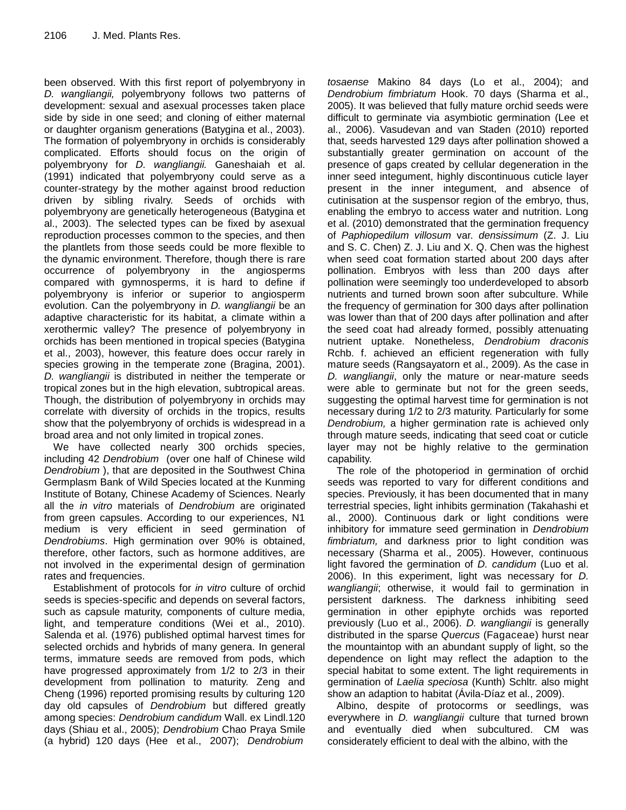been observed. With this first report of polyembryony in *D. wangliangii,* polyembryony follows two patterns of development: sexual and asexual processes taken place side by side in one seed; and cloning of either maternal or daughter organism generations (Batygina et al., 2003). The formation of polyembryony in orchids is considerably complicated. Efforts should focus on the origin of polyembryony for *D. wangliangii.* Ganeshaiah et al. (1991) indicated that polyembryony could serve as a counter-strategy by the mother against brood reduction driven by sibling rivalry. Seeds of orchids with polyembryony are genetically heterogeneous (Batygina et al., 2003). The selected types can be fixed by asexual reproduction processes common to the species, and then the plantlets from those seeds could be more flexible to the dynamic environment. Therefore, though there is rare occurrence of polyembryony in the angiosperms compared with gymnosperms, it is hard to define if polyembryony is inferior or superior to angiosperm evolution. Can the polyembryony in *D. wangliangii* be an adaptive characteristic for its habitat, a climate within a xerothermic valley? The presence of polyembryony in orchids has been mentioned in tropical species (Batygina et al., 2003), however, this feature does occur rarely in species growing in the temperate zone (Bragina, 2001). *D. wangliangii* is distributed in neither the temperate or tropical zones but in the high elevation, subtropical areas. Though, the distribution of polyembryony in orchids may correlate with diversity of orchids in the tropics, results show that the polyembryony of orchids is widespread in a broad area and not only limited in tropical zones.

We have collected nearly 300 orchids species, including 42 *Dendrobium* (over one half of Chinese wild *Dendrobium* ), that are deposited in the Southwest China Germplasm Bank of Wild Species located at the Kunming Institute of Botany, Chinese Academy of Sciences. Nearly all the *in vitro* materials of *Dendrobium* are originated from green capsules. According to our experiences, N1 medium is very efficient in seed germination of *Dendrobiums*. High germination over 90% is obtained, therefore, other factors, such as hormone additives, are not involved in the experimental design of germination rates and frequencies.

Establishment of protocols for *in vitro* culture of orchid seeds is species-specific and depends on several factors, such as capsule maturity, components of culture media, light, and temperature conditions (Wei et al., 2010). Salenda et al. (1976) published optimal harvest times for selected orchids and hybrids of many genera. In general terms, immature seeds are removed from pods, which have progressed approximately from 1/2 to 2/3 in their development from pollination to maturity. Zeng and Cheng (1996) reported promising results by culturing 120 day old capsules of *Dendrobium* but differed greatly among species: *Dendrobium candidum* Wall. ex Lindl.120 days (Shiau et al., 2005); *Dendrobium* Chao Praya Smile (a hybrid) 120 days (Hee et al., 2007); *Dendrobium* 

*tosaense* Makino 84 days (Lo et al., 2004); and *Dendrobium fimbriatum* Hook. 70 days (Sharma et al., 2005). It was believed that fully mature orchid seeds were difficult to germinate via asymbiotic germination (Lee et al., 2006). Vasudevan and van Staden (2010) reported that, seeds harvested 129 days after pollination showed a substantially greater germination on account of the presence of gaps created by cellular degeneration in the inner seed integument, highly discontinuous cuticle layer present in the inner integument, and absence of cutinisation at the suspensor region of the embryo, thus, enabling the embryo to access water and nutrition. Long et al. (2010) demonstrated that the germination frequency of *Paphiopedilum villosum* var. *densissimum* (Z. J. Liu and S. C. Chen) Z. J. Liu and X. Q. Chen was the highest when seed coat formation started about 200 days after pollination. Embryos with less than 200 days after pollination were seemingly too underdeveloped to absorb nutrients and turned brown soon after subculture. While the frequency of germination for 300 days after pollination was lower than that of 200 days after pollination and after the seed coat had already formed, possibly attenuating nutrient uptake. Nonetheless, *Dendrobium draconis* Rchb. f. achieved an efficient regeneration with fully mature seeds (Rangsayatorn et al., 2009). As the case in *D. wangliangii*, only the mature or near-mature seeds were able to germinate but not for the green seeds, suggesting the optimal harvest time for germination is not necessary during 1/2 to 2/3 maturity. Particularly for some *Dendrobium,* a higher germination rate is achieved only through mature seeds, indicating that seed coat or cuticle layer may not be highly relative to the germination capability.

The role of the photoperiod in germination of orchid seeds was reported to vary for different conditions and species. Previously, it has been documented that in many terrestrial species, light inhibits germination (Takahashi et al., 2000). Continuous dark or light conditions were inhibitory for immature seed germination in *Dendrobium fimbriatum,* and darkness prior to light condition was necessary (Sharma et al., 2005). However, continuous light favored the germination of *D. candidum* (Luo et al. 2006). In this experiment, light was necessary for *D. wangliangii*; otherwise, it would fail to germination in persistent darkness. The darkness inhibiting seed germination in other epiphyte orchids was reported previously (Luo et al., 2006). *D. wangliangii* is generally distributed in the sparse *Quercus* (Fagaceae) hurst near the mountaintop with an abundant supply of light, so the dependence on light may reflect the adaption to the special habitat to some extent. The light requirements in germination of *Laelia speciosa* (Kunth) Schltr. also might show an adaption to habitat (Ávila-Díaz et al., 2009).

Albino, despite of protocorms or seedlings, was everywhere in *D. wangliangii* culture that turned brown and eventually died when subcultured. CM was considerately efficient to deal with the albino, with the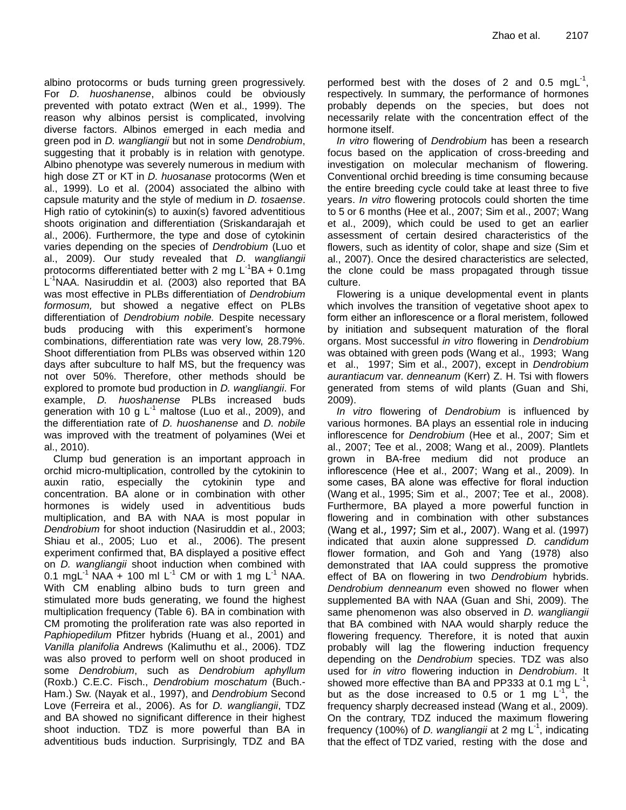albino protocorms or buds turning green progressively. For *D. huoshanense*, albinos could be obviously prevented with potato extract (Wen et al., 1999). The reason why albinos persist is complicated, involving diverse factors. Albinos emerged in each media and green pod in *D. wangliangii* but not in some *Dendrobium*, suggesting that it probably is in relation with genotype. Albino phenotype was severely numerous in medium with high dose ZT or KT in *D. huosanase* protocorms (Wen et al., 1999). Lo et al. (2004) associated the albino with capsule maturity and the style of medium in *D. tosaense*. High ratio of cytokinin(s) to auxin(s) favored adventitious shoots origination and differentiation (Sriskandarajah et al., 2006). Furthermore, the type and dose of cytokinin varies depending on the species of *Dendrobium* (Luo et al., 2009). Our study revealed that *D. wangliangii* protocorms differentiated better with 2 mg  $\text{L}^1\text{BA} + 0.1\text{mg}$ L<sup>-1</sup>NAA. Nasiruddin et al. (2003) also reported that BA was most effective in PLBs differentiation of *Dendrobium formosum,* but showed a negative effect on PLBs differentiation of *Dendrobium nobile.* Despite necessary buds producing with this experiment's hormone combinations, differentiation rate was very low, 28.79%. Shoot differentiation from PLBs was observed within 120 days after subculture to half MS, but the frequency was not over 50%. Therefore, other methods should be explored to promote bud production in *D. wangliangii*. For example, *D. huoshanense* PLBs increased buds generation with 10 g  $L^{-1}$  maltose (Luo et al., 2009), and the differentiation rate of *D. huoshanense* and *D. nobile* was improved with the treatment of polyamines (Wei et al., 2010).

Clump bud generation is an important approach in orchid micro-multiplication, controlled by the cytokinin to auxin ratio, especially the cytokinin type and concentration. BA alone or in combination with other hormones is widely used in adventitious buds multiplication, and BA with NAA is most popular in *Dendrobium* for shoot induction (Nasiruddin et al., 2003; Shiau et al., 2005; Luo et al., 2006). The present experiment confirmed that, BA displayed a positive effect on *D. wangliangii* shoot induction when combined with 0.1 mgL<sup>-1</sup> NAA + 100 ml L<sup>-1</sup> CM or with 1 mg L<sup>-1</sup> NAA. With CM enabling albino buds to turn green and stimulated more buds generating, we found the highest multiplication frequency (Table 6). BA in combination with CM promoting the proliferation rate was also reported in *Paphiopedilum* Pfitzer hybrids (Huang et al., 2001) and *Vanilla planifolia* Andrews (Kalimuthu et al., 2006). TDZ was also proved to perform well on shoot produced in some *Dendrobium*, such as *Dendrobium aphyllum* (Roxb.) C.E.C. Fisch., *Dendrobium moschatum* (Buch.- Ham.) Sw. (Nayak et al., 1997), and *Dendrobium* Second Love (Ferreira et al., 2006). As for *D. wangliangii*, TDZ and BA showed no significant difference in their highest shoot induction. TDZ is more powerful than BA in adventitious buds induction. Surprisingly, TDZ and BA

performed best with the doses of 2 and 0.5  $mgL^{-1}$ , respectively. In summary, the performance of hormones probably depends on the species, but does not necessarily relate with the concentration effect of the hormone itself.

*In vitro* flowering of *Dendrobium* has been a research focus based on the application of cross-breeding and investigation on molecular mechanism of flowering. Conventional orchid breeding is time consuming because the entire breeding cycle could take at least three to five years. *In vitro* flowering protocols could shorten the time to 5 or 6 months (Hee et al., 2007; Sim et al., 2007; Wang et al., 2009), which could be used to get an earlier assessment of certain desired characteristics of the flowers, such as identity of color, shape and size (Sim et al., 2007). Once the desired characteristics are selected, the clone could be mass propagated through tissue culture.

Flowering is a unique developmental event in plants which involves the transition of vegetative shoot apex to form either an inflorescence or a floral meristem, followed by initiation and subsequent maturation of the floral organs. Most successful *in vitro* flowering in *Dendrobium* was obtained with green pods (Wang et al., 1993; Wang et al., 1997; Sim et al., 2007), except in *[Dendrobium](http://www.tropicos.org/Name/50177050) [aurantiacum](http://www.tropicos.org/Name/50177050)* var. *denneanum* (Kerr) Z. H. Tsi with flowers generated from stems of wild plants (Guan and Shi, 2009).

*In vitro* flowering of *Dendrobium* is influenced by various hormones. BA plays an essential role in inducing inflorescence for *Dendrobium* (Hee et al., 2007; Sim et al., 2007; Tee et al., 2008; Wang et al., 2009). Plantlets grown in BA-free medium did not produce an inflorescence (Hee et al., 2007; Wang et al., 2009). In some cases, BA alone was effective for floral induction (Wang et al., 1995; Sim et al., 2007; Tee et al., 2008). Furthermore, BA played a more powerful function in flowering and in combination with other substances (Wang et al., 1997; Sim et al., 2007). Wang et al. (1997) indicated that auxin alone suppressed *D. candidum* flower formation, and Goh and Yang (1978) also demonstrated that IAA could suppress the promotive effect of BA on flowering in two *Dendrobium* hybrids. *Dendrobium denneanum* even showed no flower when supplemented BA with NAA (Guan and Shi, 2009). The same phenomenon was also observed in *D. wangliangii*  that BA combined with NAA would sharply reduce the flowering frequency. Therefore, it is noted that auxin probably will lag the flowering induction frequency depending on the *Dendrobium* species. TDZ was also used for *in vitro* flowering induction in *Dendrobium*. It showed more effective than BA and PP333 at 0.1 mg  $L^{-1}$ , but as the dose increased to 0.5 or 1 mg  $L^{-1}$ , the frequency sharply decreased instead (Wang et al., 2009). On the contrary, TDZ induced the maximum flowering frequency (100%) of *D. wangliangii* at 2 mg L<sup>-1</sup>, indicating that the effect of TDZ varied, resting with the dose and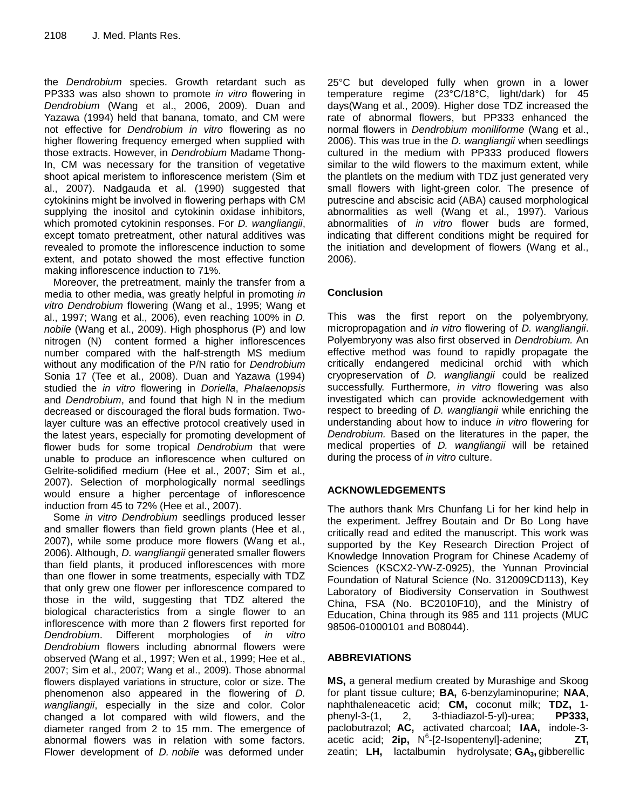the *Dendrobium* species. Growth retardant such as PP333 was also shown to promote *in vitro* flowering in *Dendrobium* (Wang et al., 2006, 2009). Duan and Yazawa (1994) held that banana, tomato, and CM were not effective for *Dendrobium in vitro* flowering as no higher flowering frequency emerged when supplied with those extracts. However, in *Dendrobium* Madame Thong-In, CM was necessary for the transition of vegetative shoot apical meristem to inflorescence meristem (Sim et al., 2007). Nadgauda et al. (1990) suggested that cytokinins might be involved in flowering perhaps with CM supplying the inositol and cytokinin oxidase inhibitors, which promoted cytokinin responses. For *D. wangliangii*, except tomato pretreatment, other natural additives was revealed to promote the inflorescence induction to some extent, and potato showed the most effective function making inflorescence induction to 71%.

Moreover, the pretreatment, mainly the transfer from a media to other media, was greatly helpful in promoting *in vitro Dendrobium* flowering (Wang et al., 1995; Wang et al., 1997; Wang et al., 2006), even reaching 100% in *D. nobile* (Wang et al., 2009). High [phosphorus](javascript:showjdsw() (P) and low nitrogen (N) content formed a higher inflorescences number compared with the half-strength MS medium without any modification of the P/N ratio for *Dendrobium* Sonia 17 (Tee et al., 2008). Duan and Yazawa (1994) studied the *in vitro* flowering in *Doriella*, *Phalaenopsis* and *Dendrobium*, and found that high N in the medium decreased or discouraged the floral buds formation. Twolayer culture was an effective protocol creatively used in the latest years, especially for promoting development of flower buds for some tropical *Dendrobium* that were unable to produce an inflorescence when cultured on Gelrite-solidified medium (Hee et al., 2007; Sim et al., 2007). Selection of morphologically normal seedlings would ensure a higher percentage of inflorescence induction from 45 to 72% (Hee et al., 2007).

Some *in vitro Dendrobium* seedlings produced lesser and smaller flowers than field grown plants (Hee et al., 2007), while some produce more flowers (Wang et al., 2006). Although, *D. wangliangii* generated smaller flowers than field plants, it produced inflorescences with more than one flower in some treatments, especially with TDZ that only grew one flower per inflorescence compared to those in the wild, suggesting that TDZ altered the biological characteristics from a single flower to an inflorescence with more than 2 flowers first reported for *Dendrobium*. Different morphologies of *in vitro Dendrobium* flowers including abnormal flowers were observed (Wang et al., 1997; Wen et al., 1999; Hee et al., 2007; Sim et al., 2007; Wang et al., 2009). Those abnormal flowers displayed variations in structure, color or size. The phenomenon also appeared in the flowering of *D. wangliangii*, especially in the size and color. Color changed a lot compared with wild flowers, and the diameter ranged from 2 to 15 mm. The emergence of abnormal flowers was in relation with some factors. Flower development of *D. nobile* was deformed under

25°C but developed fully when grown in a lower temperature regime (23°C/18°C, light/dark) for 45 days(Wang et al., 2009). Higher dose TDZ increased the rate of abnormal flowers, but PP333 enhanced the normal flowers in *Dendrobium moniliforme* (Wang et al., 2006). This was true in the *D. wangliangii* when seedlings cultured in the medium with PP333 produced flowers similar to the wild flowers to the maximum extent, while the plantlets on the medium with TDZ just generated very small flowers with light-green color. The presence of putrescine and abscisic acid (ABA) caused morphological abnormalities as well (Wang et al., 1997). Various abnormalities of *in vitro* flower buds are formed, indicating that different conditions might be required for the initiation and development of flowers (Wang et al., 2006).

# **Conclusion**

This was the first report on the polyembryony, micropropagation and *in vitro* flowering of *D. wangliangii*. Polyembryony was also first observed in *Dendrobium.* An effective method was found to rapidly propagate the critically endangered medicinal orchid with which cryopreservation of *D. wangliangii* could be realized successfully. Furthermore, *in vitro* flowering was also investigated which can provide acknowledgement with respect to breeding of *D. wangliangii* while enriching the understanding about how to induce *in vitro* flowering for *Dendrobium.* Based on the literatures in the paper, the medical properties of *D. wangliangii* will be retained during the process of *in vitro* culture.

# **ACKNOWLEDGEMENTS**

The authors thank Mrs Chunfang Li for her kind help in the experiment. Jeffrey Boutain and Dr Bo Long have critically read and edited the manuscript. This work was supported by the Key [Research Direction](http://dict.cnki.net/dict_result.aspx?searchword=%e7%a0%94%e7%a9%b6%e6%96%b9%e5%90%91&tjType=sentence&style=&t=research+direction) Project of Knowledge Innovation Program for Chinese Academy of Sciences (KSCX2-YW-Z-0925), the Yunnan Provincial Foundation of Natural Science (No. 312009CD113), Key Laboratory of Biodiversity Conservation in Southwest China, FSA (No. BC2010F10), and the Ministry of Education, China through its 985 and 111 projects (MUC 98506-01000101 and B08044).

# **ABBREVIATIONS**

**MS,** a general medium created by Murashige and Skoog for plant tissue culture; **BA,** 6-benzylaminopurine; **NAA**, naphthaleneacetic acid; **CM,** coconut milk; **TDZ,** 1 phenyl-3-(1, 2, 3-thiadiazol-5-yl)-urea; **PP333,**  paclobutrazol; **AC,** activated charcoal; **IAA,** indole-3 acetic acid; **2ip,** N<sup>6</sup>-[2-Isopentenyl]-adenine; **ZT,** zeatin; **LH,** lactalbumin hydrolysate; **GA3,** gibberellic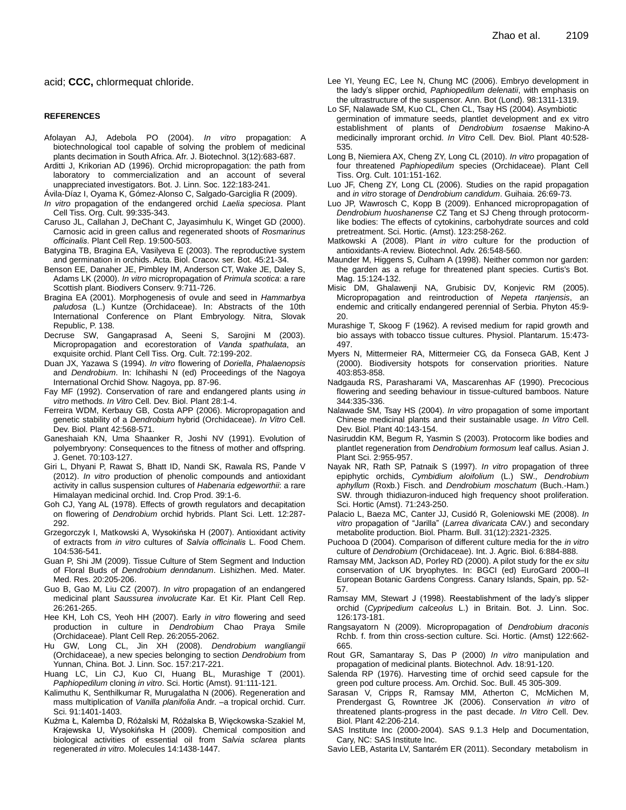acid; **CCC,** chlormequat chloride.

#### **REFERENCES**

- Afolayan AJ, Adebola PO (2004). *In vitro* propagation: A biotechnological tool capable of solving the problem of medicinal plants decimation in South Africa. Afr. J. Biotechnol. 3(12):683-687.
- Arditti J, Krikorian AD (1996). Orchid micropropagation: the path from laboratory to commercialization and an account of several unappreciated investigators. Bot. J. Linn. Soc. 122:183-241.
- Ávila-Díaz I, Oyama K, Gómez-Alonso C, Salgado-Garciglia R (2009).
- *In vitro* propagation of the endangered orchid *Laelia speciosa*. Plant Cell Tiss. Org. Cult. 99:335-343.
- Caruso JL, Callahan J, DeChant C, Jayasimhulu K, Winget GD (2000). Carnosic acid in green callus and regenerated shoots of *Rosmarinus officinalis*. Plant Cell Rep. 19:500-503.
- Batygina TB, Bragina EA, Vasilyeva E (2003). The reproductive system and germination in orchids. Acta. Biol. Cracov. ser. Bot. 45:21-34.
- Benson EE, Danaher JE, Pimbley IM, Anderson CT, Wake JE, Daley S, Adams LK (2000). *In vitro* micropropagation of *Primula scotica*: a rare Scottish plant. Biodivers Conserv. 9:711-726.
- Bragina EA (2001). Morphogenesis of ovule and seed in *Hammarbya paludosa* (L.) Kuntze (Orchidaceae). In: Abstracts of the 10th International Conference on Plant Embryology. Nitra, Slovak Republic, P. 138.
- Decruse SW, Gangaprasad A, Seeni S, Sarojini M (2003). Micropropagation and ecorestoration of *Vanda spathulata*, an exquisite orchid. Plant Cell Tiss. Org. Cult. 72:199-202.
- Duan JX, Yazawa S (1994). *In vitro* flowering of *Doriella*, *Phalaenopsis* and *Dendrobium*. In: Ichihashi N (ed) Proceedings of the Nagoya International Orchid Show. Nagoya, pp. 87-96.
- Fay MF (1992). Conservation of rare and endangered plants using *in vitro* methods. *In Vitro* Cell. Dev. Biol. Plant 28:1-4.
- Ferreira WDM, Kerbauy GB, Costa APP (2006). Micropropagation and genetic stability of a *Dendrobium* hybrid (Orchidaceae). *In Vitro* Cell. Dev. Biol. Plant 42:568-571.
- Ganeshaiah KN, Uma Shaanker R, Joshi NV (1991). Evolution of polyembryony: Consequences to the fitness of mother and offspring. J. Genet. 70:103-127.
- Giri L, Dhyani P, Rawat S, Bhatt ID, Nandi SK, Rawala RS, Pande V (2012). *In vitro* production of phenolic compounds and antioxidant activity in callus suspension cultures of *Habenaria edgeworthii*: a rare Himalayan medicinal orchid. Ind. Crop Prod. 39:1-6.
- Goh CJ, Yang AL (1978). Effects of growth regulators and decapitation on flowering of *Dendrobium* orchid hybrids. Plant Sci. Lett. 12:287- 292.
- Grzegorczyk I, Matkowski A, Wysokińska H (2007). Antioxidant activity of extracts from *in vitro* cultures of *Salvia officinalis* L. Food Chem. 104:536-541.
- Guan P, Shi JM (2009). Tissue Culture of Stem Segment and Induction of Floral Buds of *Dendrobium denndanum*. Lishizhen. Med. Mater. Med. Res. 20:205-206.
- Guo B, Gao M, Liu CZ (2007). *In vitro* propagation of an endangered medicinal plant *Saussurea involucrate* Kar. Et Kir. Plant Cell Rep. 26:261-265.
- Hee KH, Loh CS, Yeoh HH (2007). Early *in vitro* flowering and seed production in culture in *Dendrobium* Chao Praya Smile (Orchidaceae). Plant Cell Rep. 26:2055-2062.
- Hu GW, Long CL, Jin XH (2008). *Dendrobium wangliangii* (Orchidaceae), a new species belonging to section *Dendrobium* from Yunnan, China. Bot. J. Linn. Soc. 157:217-221.
- Huang LC, Lin CJ, Kuo CI, Huang BL, Murashige T (2001). *Paphiopedilum* cloning *in vitro*. Sci. Hortic (Amst). 91:111-121.
- Kalimuthu K, Senthilkumar R, Murugalatha N (2006). Regeneration and mass multiplication of *Vanilla planifolia* Andr. –a tropical orchid. Curr. Sci. 91:1401-1403.
- Kuźma Ł, Kalemba D, Różalski M, Różalska B, Więckowska-Szakiel M, Krajewska U, Wysokińska H (2009). Chemical composition and biological activities of essential oil from *Salvia sclarea* plants regenerated *in vitro*. Molecules 14:1438-1447.
- Lee YI, Yeung EC, Lee N, Chung MC (2006). Embryo development in the lady's slipper orchid, *Paphiopedilum delenatii*, with emphasis on the ultrastructure of the suspensor. Ann. Bot (Lond). 98:1311-1319.
- Lo SF, Nalawade SM, Kuo CL, Chen CL, Tsay HS (2004). Asymbiotic germination of immature seeds, plantlet development and ex vitro establishment of plants of *Dendrobium tosaense* Makino-A medicinally improrant orchid. *In Vitro* Cell. Dev. Biol. Plant 40:528- 535.
- Long B, Niemiera AX, Cheng ZY, Long CL (2010). *In vitro* propagation of four threatened *Paphiopedilum* species (Orchidaceae). Plant Cell Tiss. Org. Cult. 101:151-162.
- Luo JF, Cheng ZY, Long CL (2006). Studies on the rapid propagation and *in vitro* storage of *Dendrobium candidum*. Guihaia. 26:69-73.
- Luo JP, Wawrosch C, Kopp B (2009). Enhanced micropropagation of *Dendrobium huoshanense* CZ Tang et SJ Cheng through protocormlike bodies: The effects of cytokinins, carbohydrate sources and cold pretreatment. Sci. Hortic. (Amst). 123:258-262.
- Matkowski A (2008). Plant *in vitro* culture for the production of antioxidants-A review. Biotechnol. Adv. 26:548-560.
- Maunder M, Higgens S, Culham A (1998). Neither common nor garden: the garden as a refuge for threatened plant species. Curtis's Bot. Mag. 15:124-132.
- Misic DM, Ghalawenji NA, Grubisic DV, Konjevic RM (2005). Micropropagation and reintroduction of *Nepeta rtanjensis*, an endemic and critically endangered perennial of Serbia. Phyton 45:9- 20.
- Murashige T, Skoog F (1962). A revised medium for rapid growth and bio assays with tobacco tissue cultures. Physiol. Plantarum. 15:473- 497.
- Myers N, Mittermeier RA, Mittermeier CG, da Fonseca GAB, Kent J (2000). Biodiversity hotspots for conservation priorities. Nature 403:853-858.
- Nadgauda RS, Parasharami VA, Mascarenhas AF (1990). Precocious flowering and seeding behaviour in tissue-cultured bamboos. Nature 344:335-336.
- Nalawade SM, Tsay HS (2004). *In vitro* propagation of some important Chinese medicinal plants and their sustainable usage. *In Vitro* Cell. Dev. Biol. Plant 40:143-154.
- Nasiruddin KM, Begum R, Yasmin S (2003). Protocorm like bodies and plantlet regeneration from *Dendrobium formosum* leaf callus. Asian J. Plant Sci. 2:955-957.
- Nayak NR, Rath SP, Patnaik S (1997). *In vitro* propagation of three epiphytic orchids, *Cymbidium aloifolium* (L.) SW., *Dendrobium aphyllum* (Roxb.) Fisch. and *Dendrobium moschatum* (Buch.-Ham.) SW. through thidiazuron-induced high frequency shoot proliferation. Sci. Hortic (Amst). 71:243-250.
- Palacio L, Baeza MC, Canter JJ, Cusidó R, Goleniowski ME (2008). *In vitro* propagation of "Jarilla" (*Larrea divaricata* CAV.) and secondary metabolite production. Biol. Pharm. Bull. 31(12):2321-2325.
- Puchooa D (2004). Comparison of different culture media for the *in vitro*  culture of *Dendrobium* (Orchidaceae). Int. J. Agric. Biol. 6:884-888.
- Ramsay MM, Jackson AD, Porley RD (2000). A pilot study for the *ex situ* conservation of UK bryophytes. In: BGCI (ed) EuroGard 2000–II European Botanic Gardens Congress. Canary Islands, Spain, pp. 52- 57.
- Ramsay MM, Stewart J (1998). Reestablishment of the lady's slipper orchid (*Cypripedium calceolus* L.) in Britain. Bot. J. Linn. Soc. 126:173-181.
- Rangsayatorn N (2009). Micropropagation of *Dendrobium draconis* Rchb. f. from thin cross-section culture. Sci. Hortic. (Amst) 122:662- 665.
- Rout GR, Samantaray S, Das P (2000) *In vitro* manipulation and propagation of medicinal plants. Biotechnol. Adv. 18:91-120.
- Salenda RP (1976). Harvesting time of orchid seed capsule for the green pod culture process. Am. Orchid. Soc. Bull. 45 305-309.
- Sarasan V, Cripps R, Ramsay MM, Atherton C, McMichen M, Prendergast G, Rowntree JK (2006). Conservation *in vitro* of threatened plants-progress in the past decade. *In Vitro* Cell. Dev. Biol. Plant 42:206-214.
- SAS Institute Inc (2000-2004). SAS 9.1.3 Help and Documentation, Cary, NC: SAS Institute Inc.
- Savio LEB, Astarita LV, Santarém ER (2011). Secondary metabolism in